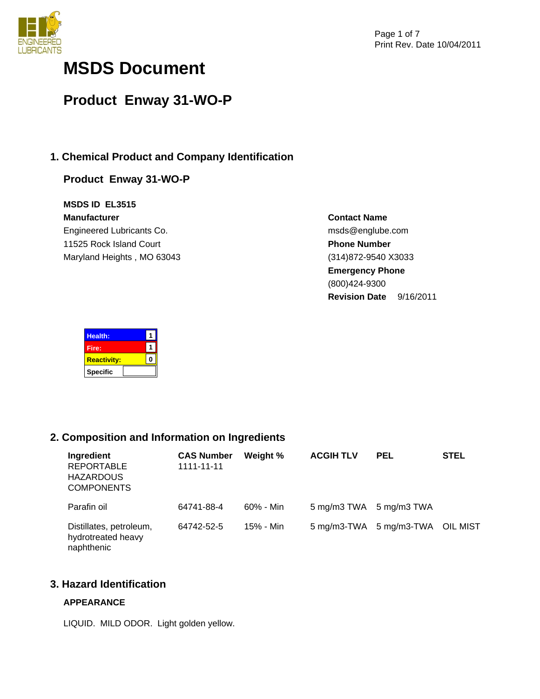

# **MSDS Document**

# **Product Enway 31-WO-P**

# **1. Chemical Product and Company Identification**

# **Product Enway 31-WO-P**

**MSDS ID EL3515 Manufacturer** Engineered Lubricants Co. 11525 Rock Island Court Maryland Heights , MO 63043

**Contact Name** msds@englube.com **Phone Number** (314)872-9540 X3033 **Emergency Phone** (800)424-9300 **Revision Date** 9/16/2011

| Health:            |  |
|--------------------|--|
| Fire:              |  |
| <b>Reactivity:</b> |  |
| <b>Specific</b>    |  |

# **2. Composition and Information on Ingredients**

| Ingredient<br><b>REPORTABLE</b><br><b>HAZARDOUS</b><br><b>COMPONENTS</b> | <b>CAS Number</b><br>1111-11-11 | Weight %  | <b>ACGIH TLV</b>        | <b>PEL</b>                       | <b>STEL</b> |
|--------------------------------------------------------------------------|---------------------------------|-----------|-------------------------|----------------------------------|-------------|
| Parafin oil                                                              | 64741-88-4                      | 60% - Min | 5 mg/m3 TWA 5 mg/m3 TWA |                                  |             |
| Distillates, petroleum,<br>hydrotreated heavy<br>naphthenic              | 64742-52-5                      | 15% - Min |                         | 5 mg/m3-TWA 5 mg/m3-TWA OIL MIST |             |

# **3. Hazard Identification**

# **APPEARANCE**

LIQUID. MILD ODOR. Light golden yellow.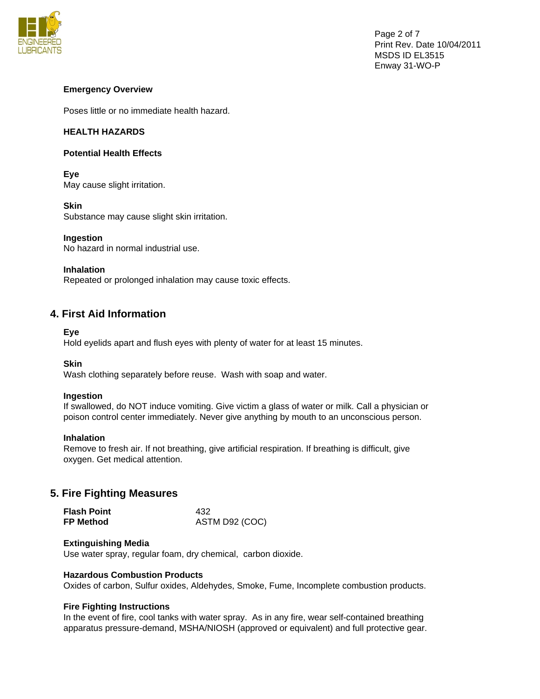

# **Emergency Overview**

Poses little or no immediate health hazard.

# **HEALTH HAZARDS**

# **Potential Health Effects**

**Eye**  May cause slight irritation.

**Skin**  Substance may cause slight skin irritation.

# **Ingestion**

No hazard in normal industrial use.

## **Inhalation**

Repeated or prolonged inhalation may cause toxic effects.

# **4. First Aid Information**

## **Eye**

Hold eyelids apart and flush eyes with plenty of water for at least 15 minutes.

## **Skin**

Wash clothing separately before reuse. Wash with soap and water.

## **Ingestion**

If swallowed, do NOT induce vomiting. Give victim a glass of water or milk. Call a physician or poison control center immediately. Never give anything by mouth to an unconscious person.

## **Inhalation**

Remove to fresh air. If not breathing, give artificial respiration. If breathing is difficult, give oxygen. Get medical attention.

# **5. Fire Fighting Measures**

| <b>Flash Point</b> | 432            |  |  |
|--------------------|----------------|--|--|
| <b>FP Method</b>   | ASTM D92 (COC) |  |  |

## **Extinguishing Media**

Use water spray, regular foam, dry chemical, carbon dioxide.

## **Hazardous Combustion Products**

Oxides of carbon, Sulfur oxides, Aldehydes, Smoke, Fume, Incomplete combustion products.

## **Fire Fighting Instructions**

In the event of fire, cool tanks with water spray. As in any fire, wear self-contained breathing apparatus pressure-demand, MSHA/NIOSH (approved or equivalent) and full protective gear.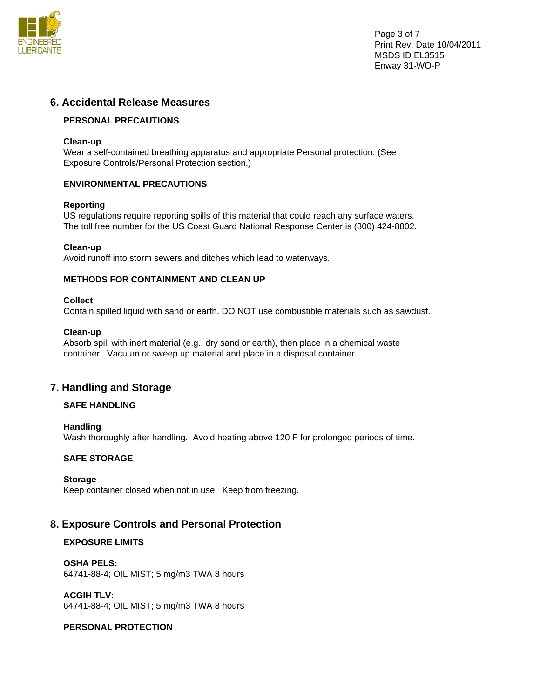

Page 3 of 7 Print Rev. Date 10/04/2011 MSDS ID EL3515 Enway 31-WO-P

# **6. Accidental Release Measures**

# **PERSONAL PRECAUTIONS**

## **Clean-up**

Wear a self-contained breathing apparatus and appropriate Personal protection. (See Exposure Controls/Personal Protection section.)

# **ENVIRONMENTAL PRECAUTIONS**

# **Reporting**

US regulations require reporting spills of this material that could reach any surface waters. The toll free number for the US Coast Guard National Response Center is (800) 424-8802.

# **Clean-up**

Avoid runoff into storm sewers and ditches which lead to waterways.

# **METHODS FOR CONTAINMENT AND CLEAN UP**

# **Collect**

Contain spilled liquid with sand or earth. DO NOT use combustible materials such as sawdust.

## **Clean-up**

Absorb spill with inert material (e.g., dry sand or earth), then place in a chemical waste container. Vacuum or sweep up material and place in a disposal container.

# **7. Handling and Storage**

# **SAFE HANDLING**

## **Handling**

Wash thoroughly after handling. Avoid heating above 120 F for prolonged periods of time.

# **SAFE STORAGE**

## **Storage**

Keep container closed when not in use. Keep from freezing.

# **8. Exposure Controls and Personal Protection**

# **EXPOSURE LIMITS**

**OSHA PELS:**  64741-88-4; OIL MIST; 5 mg/m3 TWA 8 hours

**ACGIH TLV:**  64741-88-4; OIL MIST; 5 mg/m3 TWA 8 hours

## **PERSONAL PROTECTION**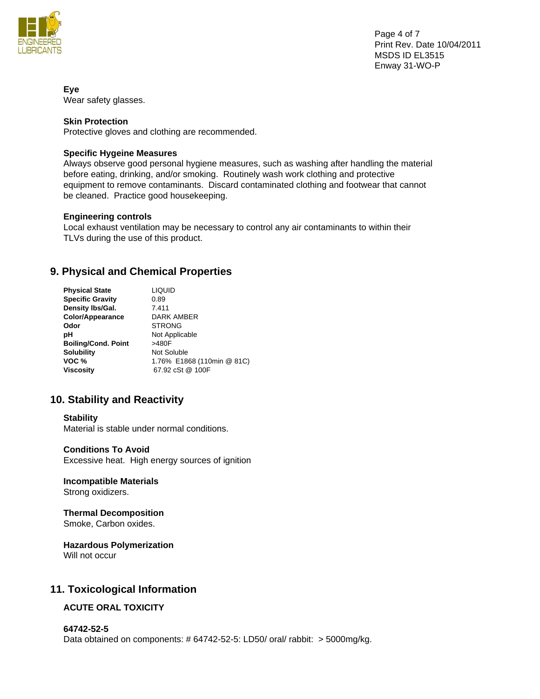

Page 4 of 7 Print Rev. Date 10/04/2011 MSDS ID EL3515 Enway 31-WO-P

**Eye**  Wear safety glasses.

# **Skin Protection**

Protective gloves and clothing are recommended.

## **Specific Hygeine Measures**

Always observe good personal hygiene measures, such as washing after handling the material before eating, drinking, and/or smoking. Routinely wash work clothing and protective equipment to remove contaminants. Discard contaminated clothing and footwear that cannot be cleaned. Practice good housekeeping.

### **Engineering controls**

Local exhaust ventilation may be necessary to control any air contaminants to within their TLVs during the use of this product.

# **9. Physical and Chemical Properties**

| <b>Physical State</b>      | LIQUID                     |
|----------------------------|----------------------------|
| <b>Specific Gravity</b>    | 0.89                       |
| Density Ibs/Gal.           | 7.411                      |
| Color/Appearance           | DARK AMBER                 |
| Odor                       | <b>STRONG</b>              |
| рH                         | Not Applicable             |
| <b>Boiling/Cond. Point</b> | >480F                      |
| <b>Solubility</b>          | Not Soluble                |
| VOC %                      | 1.76% E1868 (110min @ 81C) |
| <b>Viscosity</b>           | 67.92 cSt @ 100F           |

# **10. Stability and Reactivity**

#### **Stability**

Material is stable under normal conditions.

#### **Conditions To Avoid**

Excessive heat. High energy sources of ignition

### **Incompatible Materials**  Strong oxidizers.

# **Thermal Decomposition**

Smoke, Carbon oxides.

# **Hazardous Polymerization**

Will not occur

# **11. Toxicological Information**

# **ACUTE ORAL TOXICITY**

# **64742-52-5**

Data obtained on components: # 64742-52-5: LD50/ oral/ rabbit: > 5000mg/kg.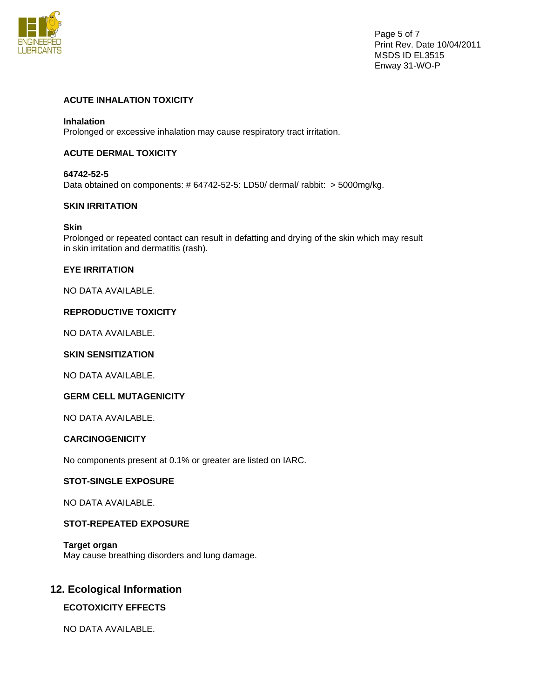![](_page_4_Picture_0.jpeg)

Page 5 of 7 Print Rev. Date 10/04/2011 MSDS ID EL3515 Enway 31-WO-P

# **ACUTE INHALATION TOXICITY**

### **Inhalation**

Prolonged or excessive inhalation may cause respiratory tract irritation.

## **ACUTE DERMAL TOXICITY**

# **64742-52-5**

Data obtained on components: # 64742-52-5: LD50/ dermal/ rabbit: > 5000mg/kg.

## **SKIN IRRITATION**

#### **Skin**

Prolonged or repeated contact can result in defatting and drying of the skin which may result in skin irritation and dermatitis (rash).

### **EYE IRRITATION**

NO DATA AVAILABLE.

### **REPRODUCTIVE TOXICITY**

NO DATA AVAILABLE.

# **SKIN SENSITIZATION**

NO DATA AVAILABLE.

## **GERM CELL MUTAGENICITY**

NO DATA AVAILABLE.

### **CARCINOGENICITY**

No components present at 0.1% or greater are listed on IARC.

# **STOT-SINGLE EXPOSURE**

NO DATA AVAILABLE.

# **STOT-REPEATED EXPOSURE**

**Target organ**  May cause breathing disorders and lung damage.

# **12. Ecological Information**

## **ECOTOXICITY EFFECTS**

NO DATA AVAILABLE.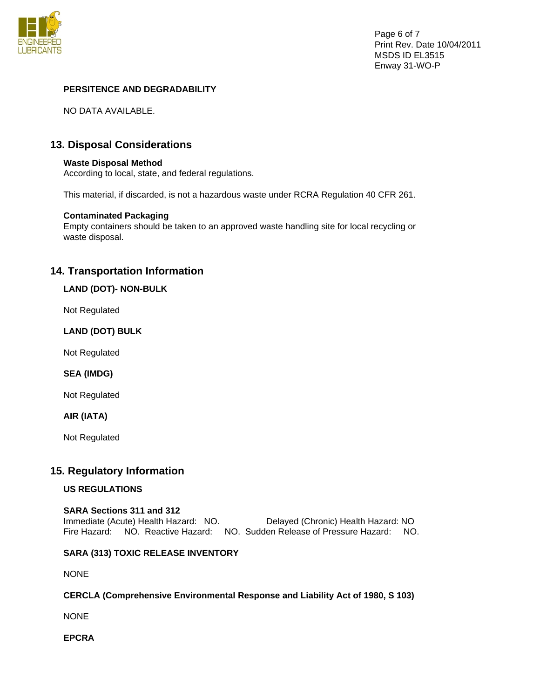![](_page_5_Picture_0.jpeg)

# **PERSITENCE AND DEGRADABILITY**

NO DATA AVAILABLE.

# **13. Disposal Considerations**

### **Waste Disposal Method**

According to local, state, and federal regulations.

This material, if discarded, is not a hazardous waste under RCRA Regulation 40 CFR 261.

## **Contaminated Packaging**

Empty containers should be taken to an approved waste handling site for local recycling or waste disposal.

# **14. Transportation Information**

## **LAND (DOT)- NON-BULK**

Not Regulated

## **LAND (DOT) BULK**

Not Regulated

## **SEA (IMDG)**

Not Regulated

## **AIR (IATA)**

Not Regulated

# **15. Regulatory Information**

## **US REGULATIONS**

### **SARA Sections 311 and 312**  Immediate (Acute) Health Hazard: NO. Delayed (Chronic) Health Hazard: NO Fire Hazard: NO. Reactive Hazard: NO. Sudden Release of Pressure Hazard: NO.

# **SARA (313) TOXIC RELEASE INVENTORY**

NONE

## **CERCLA (Comprehensive Environmental Response and Liability Act of 1980, S 103)**

NONE

**EPCRA**